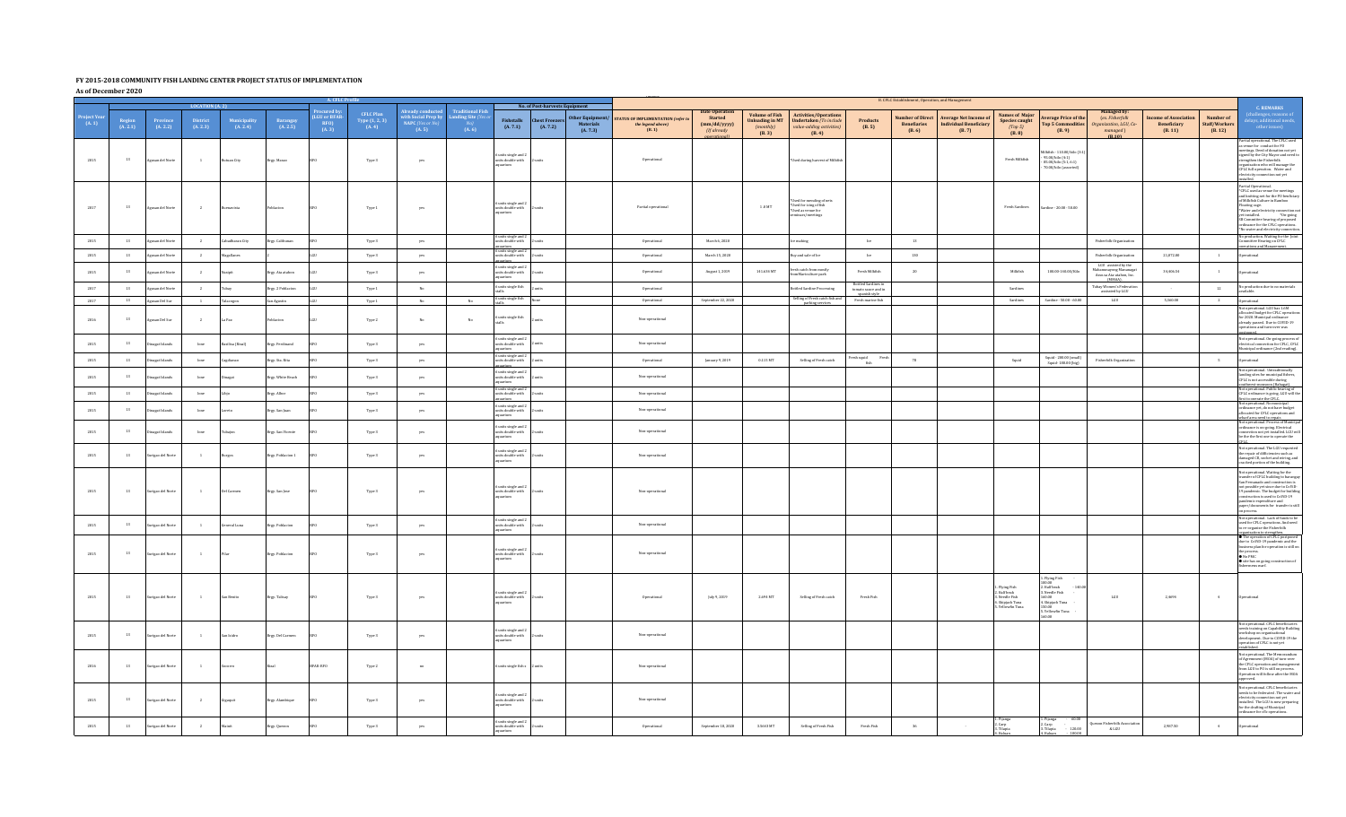## **FY 2015-2018 COMMUNITY FISH LANDING CENTER PROJECT STATUS OF IMPLEMENTATION**

**As of December 2020**

|                       |                      |                      |                      | <b>LOCATION (A. 2)</b>   |                           |                                                     | A CELC                                    |                                                                                          |                                                        | No. of Post-harvests Equipment                                  |                               | B. CFLC Establishment, Operation, and Management |                                                                       |                                                                  |                                                                       |                                                                                                   |                                                   |                                                         |                                                                        |                                                                                        |                                                                                                                                  |                                                                             |                                             |                                       |                                                                                                                                                                                                                                                                                                                                                                                                                                                                    |
|-----------------------|----------------------|----------------------|----------------------|--------------------------|---------------------------|-----------------------------------------------------|-------------------------------------------|------------------------------------------------------------------------------------------|--------------------------------------------------------|-----------------------------------------------------------------|-------------------------------|--------------------------------------------------|-----------------------------------------------------------------------|------------------------------------------------------------------|-----------------------------------------------------------------------|---------------------------------------------------------------------------------------------------|---------------------------------------------------|---------------------------------------------------------|------------------------------------------------------------------------|----------------------------------------------------------------------------------------|----------------------------------------------------------------------------------------------------------------------------------|-----------------------------------------------------------------------------|---------------------------------------------|---------------------------------------|--------------------------------------------------------------------------------------------------------------------------------------------------------------------------------------------------------------------------------------------------------------------------------------------------------------------------------------------------------------------------------------------------------------------------------------------------------------------|
| Project Yea<br>(A. 1) | Region<br>$(A, 2.1)$ | Province<br>(A. 2.2) | District<br>(A. 2.3) | Municipality<br>(A. 2.4) | Barangay<br>(A. 2.5)      | rocured by<br><b>LGU or BFAR</b><br>$RFO$<br>(A. 3) | CFLC Plan<br>Type $(1, 2, 3)$<br>$(A, 4)$ | Already conducte <mark>e</mark><br>with Social Prep by<br>NAPC (Yes or $N_1$ )<br>(A. 5) | <b>Traditional Fish</b><br>Landing Site (Yes)<br>(A.6) | <b>Fishstalls</b><br>(A. 7.1)                                   | <b>Chest Free</b><br>(A. 7.2) | <b>Other Equipment</b><br>Materials<br>(A. 7.3)  | <b>TATUS OF IMPLEMENTATION (refer)</b><br>the legend above)<br>(B. 1) | <b>Date Operation</b><br>Started<br>(mm/dd/yyyy)<br>(If already) | <b>Volume of Fish</b><br><b>Unloading in MT</b><br>(monthiv)<br>(B.3) | <b>Activities/Operation</b><br><b>Undertaken</b> (To include<br>value-addina activities<br>(B. 4) | <b>Products</b><br>(B.5)                          | <b>Number of Direct</b><br><b>Benefiaries</b><br>(B. 6) | <b>Average Net Income of</b><br><b>Individual Beneficiary</b><br>(B.7) | <b>Names of Major</b><br>Species caught<br>(Top 5)<br>(B.8)                            | verage Price of the<br><b>Top 5 Commodities</b><br>(B. 9)                                                                        | Managed by:<br>(ex. Fisherfolk<br>ganization, LGU, Co<br>managed)<br>(B.10) | come of Associati<br>Beneficiary<br>(B. 11) | Number of<br>Staff/Workers<br>(B. 12) | <b>C. REMARKS</b><br>hallenges, reasons of<br>lays, additional need<br>other issues)                                                                                                                                                                                                                                                                                                                                                                               |
| 2015                  | 13                   | isan del Norte       | $\overline{1}$       | tuan City                | Brgy. Masao               |                                                     | Type 3                                    | yes                                                                                      |                                                        | units single and<br>units double with<br>aquarium               |                               |                                                  | Operational                                                           |                                                                  |                                                                       | Used during harvest of Milkfish                                                                   |                                                   |                                                         |                                                                        | Fresh Milkfish                                                                         | lilkfish - 110.00/kilo (3:1<br>95.00/kilo (4:1)<br>85.00/kilo (5:1.6:1)<br>$70.00/\rm{kilo}$ (assorted)                          |                                                                             |                                             |                                       | $\label{eq:partial} \begin{array}{l} \textbf{Partial}\textbf{ operational. The CFLC used}\\ \textbf{as} \textbf{ we}\\ \textbf{in} \textbf{ is} \textbf{ if} \textbf{ condust for FO}\\ \textbf{meetings.}\textbf{ Dead of} \textbf{d} \textbf{omation not yet} \end{array}$<br>signed by the City Mayor and need<br>strengthen the Fisherfolk<br>organization who will manage the<br>CFLC full operation. Water and<br>electricity connection not yet<br>stalled. |
| 2017                  | 13                   | gusan del Norte      | $\overline{2}$       | uenavista                | oblacion                  |                                                     | Type 1                                    | yes                                                                                      |                                                        | 6 units single and 2<br>units double with<br>quarium            |                               |                                                  | Partial operational                                                   |                                                                  | 1.0 MT                                                                | Used for mending of nets<br>"Used for icing of fish"<br>"Used as venue for<br>minars/meetings     |                                                   |                                                         |                                                                        | Fresh Sardines                                                                         | Sardine - 20.00 - 50.00                                                                                                          |                                                                             |                                             |                                       | Partial Operational.<br>*CFLC used as venue for meetings<br>and knitting net for the PO benficia<br>of Milkfish Culture in Bamboo<br>or suncism curture in Bannoor<br>Floating cage.<br>"Water and electricity connection r<br>yet installed.<br>*On-going<br>SB Committee hearing of proposed<br>ordinance for the CFLC operations.<br>*No water and electricity connecti                                                                                         |
| 2015                  | 13                   | usan del Norte       | $\overline{2}$       | ahadharan City           | Brgy, Calibunar           |                                                     | Type 3                                    | yes                                                                                      |                                                        | $6$ units single and $2$ units double with                      |                               |                                                  | Operational                                                           | March 6, 2020                                                    |                                                                       | e making                                                                                          | Ice                                               | 13                                                      |                                                                        |                                                                                        |                                                                                                                                  | Fisherfolk Organization                                                     |                                             |                                       | No production. Waiting for the Joint Committee Hearing on CFLC<br>operations and Management.                                                                                                                                                                                                                                                                                                                                                                       |
| 2015                  | 13                   | usan del Norte       | $\overline{2}$       | <b>Jagallanes</b>        |                           |                                                     | Type 3                                    | ves                                                                                      |                                                        | aouarium<br>6 units single and 2<br>units double with           |                               |                                                  | Operational                                                           | March 15, 2020                                                   |                                                                       | uy and sale of Ice                                                                                | $1\mathrm{ce}$                                    | 130                                                     |                                                                        |                                                                                        |                                                                                                                                  | Fisherfolk Organization                                                     | 21,072.00                                   | $\qquad \qquad 1$                     | perational                                                                                                                                                                                                                                                                                                                                                                                                                                                         |
| 2015                  | $13\,$               | isan del Norte       | $\overline{2}$       |                          | Irgy. Ata atahon          |                                                     | Type 3                                    | yes                                                                                      |                                                        | $6$ units single and $2$ units double with                      |                               |                                                  | Operational                                                           | August 1, 2019                                                   | $141.634\,\mathrm{MT}$                                                | sh catch from mostly<br>omMariculture park                                                        | $\operatorname{\mathsf{Fresh}}$ Milkfish          | $20\,$                                                  |                                                                        | Milkfish                                                                               | 100.00-140.00/Kilo                                                                                                               | LGU assisted by the<br>Makanunayong Mananagat<br>Asso.sa Ata-atahon, Inc.   | 34,406.54                                   | $\overline{1}$                        | rational                                                                                                                                                                                                                                                                                                                                                                                                                                                           |
| 2017                  | 13                   | san del Nort         | $\rightarrow$        |                          | <b>Srgy. 2 Poblacion</b>  |                                                     | Type 1                                    | No                                                                                       |                                                        | quarium<br>6 units single fish                                  |                               |                                                  | Operational                                                           |                                                                  |                                                                       | ttled Sardine Processing                                                                          | <b>Bottled Sardines in</b><br>tomato sauce and in |                                                         |                                                                        | Sandines                                                                               |                                                                                                                                  | (MMAA)<br>Tubay Women's Federati<br>assissted by LGU                        |                                             | 12                                    | No production due to no materials                                                                                                                                                                                                                                                                                                                                                                                                                                  |
| 2017                  | 13                   | Agusan Del Sur       | <sup>1</sup>         | Talacogon                | San Agustin               |                                                     | Type 1                                    | No                                                                                       | No                                                     | 6 units single fish                                             |                               |                                                  | Operational                                                           | September 22, 2020                                               |                                                                       | Selling of Fresh catch fish an<br>parking services                                                | spanish style<br>Fresh marine fish                |                                                         |                                                                        | Sardines                                                                               | Sardine - 50.00 - 60.00                                                                                                          | LGU                                                                         | 5,360.00                                    | $\overline{2}$                        | Operational                                                                                                                                                                                                                                                                                                                                                                                                                                                        |
| 2016                  | $13\,$               | usan Del Sur         | $\overline{2}$       | La Paz                   | oblacion                  |                                                     | Type 2                                    | No                                                                                       | No                                                     | 6 units single fish                                             |                               |                                                  | Non-operational                                                       |                                                                  |                                                                       |                                                                                                   |                                                   |                                                         |                                                                        |                                                                                        |                                                                                                                                  |                                                                             |                                             |                                       | <b>Not operational. LGU has 1.6M</b><br>illocated budget for CFLC operatic<br>for 2020. Municipal ordinance<br>already passed. Due to COVID-19<br>operations and turn-over was<br>poned.                                                                                                                                                                                                                                                                           |
| 2015                  | 13                   | agat Islands         | lone                 | asilisa (Rizal)          | Brgy. Ferdinand           |                                                     | Type 3                                    | yes                                                                                      |                                                        | 6 units single and 2<br>units double with<br>quarium            |                               |                                                  | Non-operational                                                       |                                                                  |                                                                       |                                                                                                   |                                                   |                                                         |                                                                        |                                                                                        |                                                                                                                                  |                                                                             |                                             |                                       | Not operational. On-going process o<br>electrical connection for CFLC, CFLC<br>Municipal ordinance (2nd reading).                                                                                                                                                                                                                                                                                                                                                  |
| 2015                  | $13\,$               | nagat Islands        | lone                 | agdianao                 | Brgy, Sta. Rita           |                                                     | Type 3                                    | yes                                                                                      |                                                        | units single and:<br>units double with                          |                               |                                                  | $\label{cor:2} {\bf Operational}$                                     | January 9, 2019                                                  | $0.115\,\mathrm{MT}$                                                  | Selling of Fresh catch                                                                            | resh squid<br>fish<br>Fresh                       | 78                                                      |                                                                        | Squid                                                                                  | Squid - 200.00 (small)<br>Squid-180.00 (big)                                                                                     | Fisherfolk Organization                                                     |                                             | 5                                     | <b>Operational</b>                                                                                                                                                                                                                                                                                                                                                                                                                                                 |
| 2015                  | $13\,$               | agat Islands         | lone                 | agat                     | Brgy. White Beach         |                                                     | Type 3                                    | yes                                                                                      |                                                        | units single and 2<br>units double with<br>aquarium             |                               |                                                  | $\textsf{Non}{\text{-}{\sf operational}}$                             |                                                                  |                                                                       |                                                                                                   |                                                   |                                                         |                                                                        |                                                                                        |                                                                                                                                  |                                                                             |                                             |                                       | Not operational. Untraditionally<br>landing sites for municipal fishers,<br>CFLC is not accessible during                                                                                                                                                                                                                                                                                                                                                          |
| 2015                  | $13\,$               | gat Island           | $_{\rm lone}$        |                          | rgy. Albor                |                                                     | ${\tt Type\,3}$                           | yes                                                                                      |                                                        | 6 units single and :<br>units double with<br>uarium.            |                               |                                                  | $\mbox{\sf Non-operational}$                                          |                                                                  |                                                                       |                                                                                                   |                                                   |                                                         |                                                                        |                                                                                        |                                                                                                                                  |                                                                             |                                             |                                       | Southwest-monsoon (Habaeat).<br>Not operational. Public hearing of<br>CFLC ordinance is going. LGU will the                                                                                                                                                                                                                                                                                                                                                        |
| 2015                  | 13                   | rat Islands          | $_{\rm{lone}}$       |                          | Irgy. San Juan            |                                                     | Type 3                                    | yes                                                                                      |                                                        | 6 units single and 2<br>its double with                         |                               |                                                  | Non-operational                                                       |                                                                  |                                                                       |                                                                                                   |                                                   |                                                         |                                                                        |                                                                                        |                                                                                                                                  |                                                                             |                                             |                                       | first to operate the CFLC.<br>Not operational. No municipal<br>relinance yet, do not have budget<br>llocated for CFLC operations and                                                                                                                                                                                                                                                                                                                               |
| 2015                  | 13                   | rat Islands          | lone                 | ajos                     | <b>Srgy</b> . San Vicente |                                                     | Type 3                                    | yes                                                                                      |                                                        | quarium<br>6 units single and 2<br>units double with<br>quarium |                               |                                                  | Non-operational                                                       |                                                                  |                                                                       |                                                                                                   |                                                   |                                                         |                                                                        |                                                                                        |                                                                                                                                  |                                                                             |                                             |                                       | wharf area need to repair.<br>Not operational. Process of Municipa<br>ordinance is on-going. Electrical<br>connection not yet installed. LGU wi<br>be the the first one to operate the                                                                                                                                                                                                                                                                             |
| 2015                  | 13                   | rigao del Norte      |                      |                          | Brgy. Poblacion 1         |                                                     | Type 3                                    | yes                                                                                      |                                                        | 6 units single and 2<br>units double with<br>quarium            |                               |                                                  | $\mbox{\sf Non-operational}$                                          |                                                                  |                                                                       |                                                                                                   |                                                   |                                                         |                                                                        |                                                                                        |                                                                                                                                  |                                                                             |                                             |                                       | Not operational, The LGU requested<br>the repair of difficiencies such as<br>damaged CR, socket and wiring, and<br>cracked portion of the building.                                                                                                                                                                                                                                                                                                                |
| 2015                  | 13                   | rigao del Norte      | $\sim$ 1             | Del Carmen               | Brgy. San Jose            |                                                     | Type 3                                    | yes                                                                                      |                                                        | $6$ units single and $2$ units double with<br>quarium           |                               |                                                  | Non-operational                                                       |                                                                  |                                                                       |                                                                                                   |                                                   |                                                         |                                                                        |                                                                                        |                                                                                                                                  |                                                                             |                                             |                                       | Not operational. Waiting for the<br>transfer of CFLC building to baranga<br>San Fernanado and construction is<br>not possible yet since due to CoViD-<br>19 pandemic. The budget for buildi<br>construction is used to CoVID-19<br>pandemic expenditure and<br>paper/documents for transfer is stil<br>on process.                                                                                                                                                 |
| 2015                  | $13\,$               | igao del Norte       | $\mathbf{1}$         | meral Luna               | <b>Brgy. Poblacion</b>    |                                                     | Type 3                                    | yes                                                                                      |                                                        | 6 units single and 2<br>units double with<br>cusarium.          |                               |                                                  | $\textsf{Non}{\text{-}{\sf operational}}$                             |                                                                  |                                                                       |                                                                                                   |                                                   |                                                         |                                                                        |                                                                                        |                                                                                                                                  |                                                                             |                                             |                                       | Not operational. Lack of funds to be                                                                                                                                                                                                                                                                                                                                                                                                                               |
| 2015                  | 13                   | rigao del Norte      | $\overline{1}$       |                          | <b>Brgy. Poblacion</b>    |                                                     | Type 3                                    | yes                                                                                      |                                                        | 6 units single and 2<br>nits double with<br>quarium             |                               |                                                  | Non-operational                                                       |                                                                  |                                                                       |                                                                                                   |                                                   |                                                         |                                                                        |                                                                                        |                                                                                                                                  |                                                                             |                                             |                                       | Not operation. Late of the CPLC operations. And need<br>to re-organize the Fisherfolk<br>organization to streamthen.<br>The operation of CFLC postponed<br>due to CoViD-19 pandemic and the<br>business plan for operation is still or<br>the process.<br>• No PMC<br>· site has on going construction of<br>fishermens warf.                                                                                                                                      |
| 2015                  | 13                   | urigao del Norte     | $\mathbf 1$          | ian Benito               | Brgy. Talisay             |                                                     | ${\tt Type\,3}$                           | yes                                                                                      |                                                        | 6 units single and 2<br>units double with<br>quarium            |                               |                                                  | Operational                                                           | July 9, 2019                                                     | 2.694 MT                                                              | Selling of Fresh catch                                                                            | Fresh Fish                                        |                                                         |                                                                        | 1. Flying Fish<br>2. Half beak<br>3. Needle Fish<br>4. Skipjack Tuna<br>Vellowfin Tuna | Flying Fish<br>00.00<br>2. Half beak<br>$-140$<br>. Needle Fish<br>60.00<br>4. Skipjack Tuna<br>50.00<br>Yellowfin Tuna<br>60.00 | LGU                                                                         | 2,4694                                      | $\sim$                                | Operational                                                                                                                                                                                                                                                                                                                                                                                                                                                        |
| 2015                  | 13                   | rigao del Norte      |                      | an Isidro                | Brgy. Del Carmen          |                                                     | Type 3                                    | yes                                                                                      |                                                        | units single and 2<br>nits double with<br>quarium               |                               |                                                  | $\mbox{\sf Non-operational}$                                          |                                                                  |                                                                       |                                                                                                   |                                                   |                                                         |                                                                        |                                                                                        |                                                                                                                                  |                                                                             |                                             |                                       | Not operational, CFLC beneficiaries<br>needs training on Capability Building<br>workshop on organizational<br>development. Due to COVID-19 the<br>operation of CFLC is not yet<br>histhed                                                                                                                                                                                                                                                                          |
| 2016                  | 13                   | rigao del Norte      | $\mathbf{1}$         | corro                    |                           | <b>BFAR-RFO</b>                                     | Type 2                                    | no                                                                                       |                                                        | 5 units single fish s                                           | 2 units                       |                                                  | Non-operational                                                       |                                                                  |                                                                       |                                                                                                   |                                                   |                                                         |                                                                        |                                                                                        |                                                                                                                                  |                                                                             |                                             |                                       | Not operational. The Memorandum<br>of Agremment (MOA) of turn-over<br>the CFLC operation and managemen<br>from LGU to PO is still on process.<br>Operation will follow after the MOA<br>pproved.                                                                                                                                                                                                                                                                   |
| 2015                  | $13\,$               | urigao del Norte     | $\overline{2}$       | igaquit                  | Brgy. Alambique           |                                                     | Type 3                                    | yes                                                                                      |                                                        | units single and 2<br>units double with<br>quarium              |                               |                                                  | Non-operational                                                       |                                                                  |                                                                       |                                                                                                   |                                                   |                                                         |                                                                        |                                                                                        |                                                                                                                                  |                                                                             |                                             |                                       | Not operational, CFLC beneficiaries<br>needs to be federated. The water a<br>electricity connection not yet<br>installed. The LGU is now preparing<br>for the drafting of Municipal<br>inance for cflc operations.                                                                                                                                                                                                                                                 |
| 2015                  | $13\,$               | rigao del Norte      | $\overline{2}$       | fainit                   | Brgy. Quezon              |                                                     | Type 3                                    | yes                                                                                      |                                                        | 6 units single and 2<br>units double with<br>quarium            |                               |                                                  | Operational                                                           | September 18, 2020                                               | $3.5643\,\mathrm{MT}$                                                 | Selling of Fresh Fish                                                                             | Fresh Fish                                        | 36                                                      |                                                                        | Pijanga<br>2. Carp<br>3. Tilapia                                                       | 60.00<br>. Pijanga<br>2. Carp<br>3. Tilapia<br>$-120.00$                                                                         | uezon Fisherfolk Associatio<br>& LGU                                        | 2.987.50                                    | $\sim 4$                              | perational                                                                                                                                                                                                                                                                                                                                                                                                                                                         |